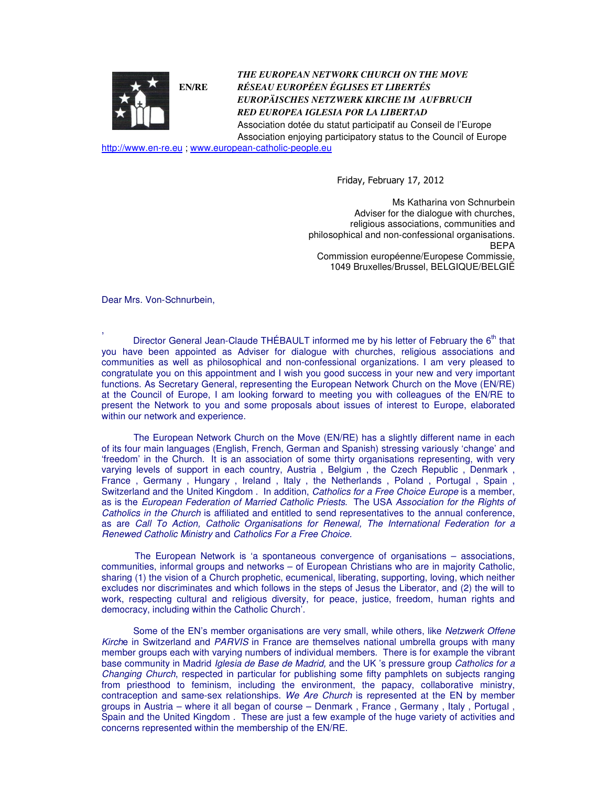

*THE EUROPEAN NETWORK CHURCH ON THE MOVE RÉSEAU EUROPÉEN ÉGLISES ET LIBERTÉS EUROPÄISCHES NETZWERK KIRCHE IM AUFBRUCH RED EUROPEA IGLESIA POR LA LIBERTAD*  Association dotée du statut participatif au Conseil de l'Europe

Association enjoying participatory status to the Council of Europe

http://www.en-re.eu ; www.european-catholic-people.eu

Friday, February 17, 2012

 Ms Katharina von Schnurbein Adviser for the dialogue with churches, religious associations, communities and philosophical and non-confessional organisations. BEPA Commission européenne/Europese Commissie, 1049 Bruxelles/Brussel, BELGIQUE/BELGIË

Dear Mrs. Von-Schnurbein,

, Director General Jean-Claude THÉBAULT informed me by his letter of February the 6<sup>th</sup> that you have been appointed as Adviser for dialogue with churches, religious associations and communities as well as philosophical and non-confessional organizations. I am very pleased to congratulate you on this appointment and I wish you good success in your new and very important functions. As Secretary General, representing the European Network Church on the Move (EN/RE) at the Council of Europe, I am looking forward to meeting you with colleagues of the EN/RE to present the Network to you and some proposals about issues of interest to Europe, elaborated within our network and experience.

 The European Network Church on the Move (EN/RE) has a slightly different name in each of its four main languages (English, French, German and Spanish) stressing variously 'change' and 'freedom' in the Church. It is an association of some thirty organisations representing, with very varying levels of support in each country, Austria, Belgium, the Czech Republic, Denmark, France, Germany, Hungary, Ireland, Italy, the Netherlands, Poland, Portugal, Spain, Switzerland and the United Kingdom . In addition, Catholics for a Free Choice Europe is a member, as is the European Federation of Married Catholic Priests. The USA Association for the Rights of Catholics in the Church is affiliated and entitled to send representatives to the annual conference, as are Call To Action, Catholic Organisations for Renewal, The International Federation for a Renewed Catholic Ministry and Catholics For a Free Choice.

 The European Network is 'a spontaneous convergence of organisations – associations, communities, informal groups and networks – of European Christians who are in majority Catholic, sharing (1) the vision of a Church prophetic, ecumenical, liberating, supporting, loving, which neither excludes nor discriminates and which follows in the steps of Jesus the Liberator, and (2) the will to work, respecting cultural and religious diversity, for peace, justice, freedom, human rights and democracy, including within the Catholic Church'.

Some of the EN's member organisations are very small, while others, like Netzwerk Offene Kirche in Switzerland and PARVIS in France are themselves national umbrella groups with many member groups each with varying numbers of individual members. There is for example the vibrant base community in Madrid Iglesia de Base de Madrid, and the UK 's pressure group Catholics for a Changing Church, respected in particular for publishing some fifty pamphlets on subjects ranging from priesthood to feminism, including the environment, the papacy, collaborative ministry, contraception and same-sex relationships. We Are Church is represented at the EN by member groups in Austria – where it all began of course – Denmark , France , Germany , Italy , Portugal , Spain and the United Kingdom . These are just a few example of the huge variety of activities and concerns represented within the membership of the EN/RE.